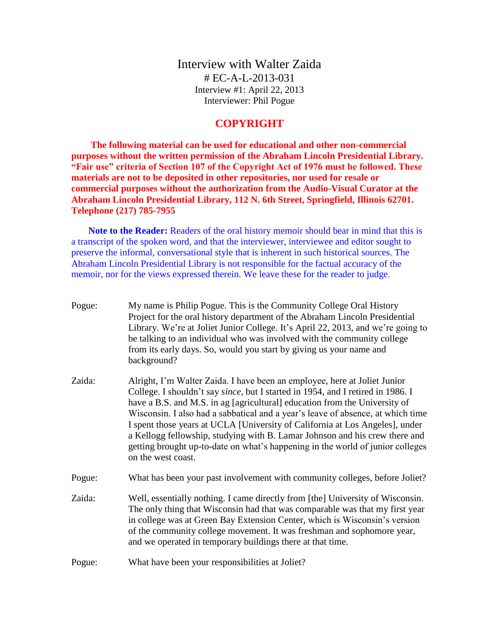Interview with Walter Zaida # EC-A-L-2013-031 Interview #1: April 22, 2013 Interviewer: Phil Pogue

## **COPYRIGHT**

**The following material can be used for educational and other non-commercial purposes without the written permission of the Abraham Lincoln Presidential Library. "Fair use" criteria of Section 107 of the Copyright Act of 1976 must be followed. These materials are not to be deposited in other repositories, nor used for resale or commercial purposes without the authorization from the Audio-Visual Curator at the Abraham Lincoln Presidential Library, 112 N. 6th Street, Springfield, Illinois 62701. Telephone (217) 785-7955**

**Note to the Reader:** Readers of the oral history memoir should bear in mind that this is a transcript of the spoken word, and that the interviewer, interviewee and editor sought to preserve the informal, conversational style that is inherent in such historical sources. The Abraham Lincoln Presidential Library is not responsible for the factual accuracy of the memoir, nor for the views expressed therein. We leave these for the reader to judge.

| Pogue: | My name is Philip Pogue. This is the Community College Oral History<br>Project for the oral history department of the Abraham Lincoln Presidential<br>Library. We're at Joliet Junior College. It's April 22, 2013, and we're going to<br>be talking to an individual who was involved with the community college<br>from its early days. So, would you start by giving us your name and<br>background?                                                                                                                                                                                              |
|--------|------------------------------------------------------------------------------------------------------------------------------------------------------------------------------------------------------------------------------------------------------------------------------------------------------------------------------------------------------------------------------------------------------------------------------------------------------------------------------------------------------------------------------------------------------------------------------------------------------|
| Zaida: | Alright, I'm Walter Zaida. I have been an employee, here at Joliet Junior<br>College. I shouldn't say since, but I started in 1954, and I retired in 1986. I<br>have a B.S. and M.S. in ag [agricultural] education from the University of<br>Wisconsin. I also had a sabbatical and a year's leave of absence, at which time<br>I spent those years at UCLA [University of California at Los Angeles], under<br>a Kellogg fellowship, studying with B. Lamar Johnson and his crew there and<br>getting brought up-to-date on what's happening in the world of junior colleges<br>on the west coast. |
| Pogue: | What has been your past involvement with community colleges, before Joliet?                                                                                                                                                                                                                                                                                                                                                                                                                                                                                                                          |
| Zaida: | Well, essentially nothing. I came directly from [the] University of Wisconsin.<br>The only thing that Wisconsin had that was comparable was that my first year<br>in college was at Green Bay Extension Center, which is Wisconsin's version<br>of the community college movement. It was freshman and sophomore year,<br>and we operated in temporary buildings there at that time.                                                                                                                                                                                                                 |
| Pogue: | What have been your responsibilities at Joliet?                                                                                                                                                                                                                                                                                                                                                                                                                                                                                                                                                      |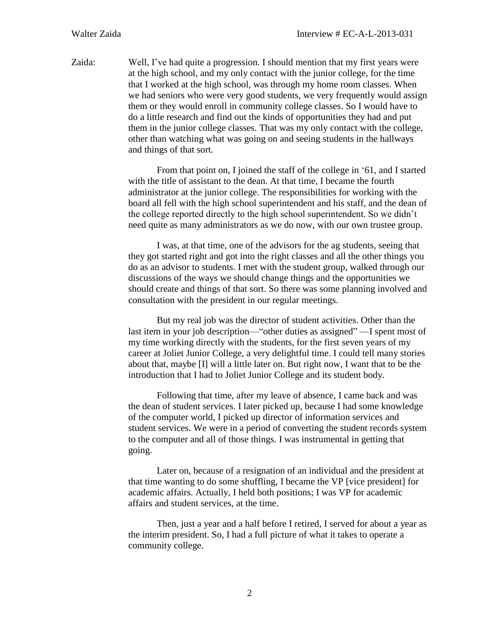Zaida: Well, I've had quite a progression. I should mention that my first years were at the high school, and my only contact with the junior college, for the time that I worked at the high school, was through my home room classes. When we had seniors who were very good students, we very frequently would assign them or they would enroll in community college classes. So I would have to do a little research and find out the kinds of opportunities they had and put them in the junior college classes. That was my only contact with the college, other than watching what was going on and seeing students in the hallways and things of that sort.

> From that point on, I joined the staff of the college in '61, and I started with the title of assistant to the dean. At that time, I became the fourth administrator at the junior college. The responsibilities for working with the board all fell with the high school superintendent and his staff, and the dean of the college reported directly to the high school superintendent. So we didn't need quite as many administrators as we do now, with our own trustee group.

> I was, at that time, one of the advisors for the ag students, seeing that they got started right and got into the right classes and all the other things you do as an advisor to students. I met with the student group, walked through our discussions of the ways we should change things and the opportunities we should create and things of that sort. So there was some planning involved and consultation with the president in our regular meetings.

> But my real job was the director of student activities. Other than the last item in your job description—"other duties as assigned" —I spent most of my time working directly with the students, for the first seven years of my career at Joliet Junior College, a very delightful time. I could tell many stories about that, maybe [I] will a little later on. But right now, I want that to be the introduction that I had to Joliet Junior College and its student body.

> Following that time, after my leave of absence, I came back and was the dean of student services. I later picked up, because I had some knowledge of the computer world, I picked up director of information services and student services. We were in a period of converting the student records system to the computer and all of those things. I was instrumental in getting that going.

> Later on, because of a resignation of an individual and the president at that time wanting to do some shuffling, I became the VP [vice president] for academic affairs. Actually, I held both positions; I was VP for academic affairs and student services, at the time.

> Then, just a year and a half before I retired, I served for about a year as the interim president. So, I had a full picture of what it takes to operate a community college.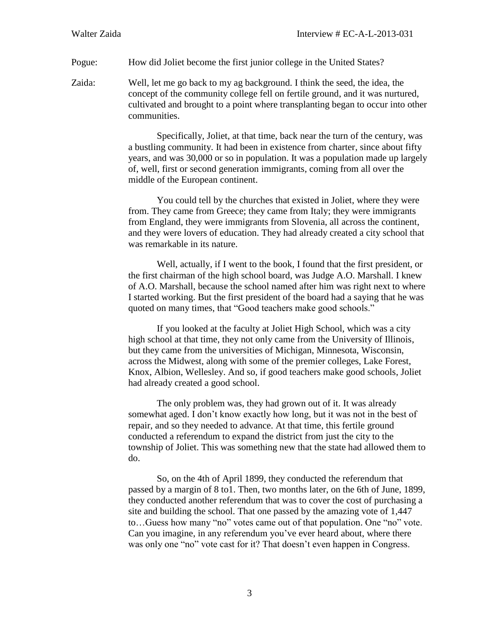Pogue: How did Joliet become the first junior college in the United States?

Zaida: Well, let me go back to my ag background. I think the seed, the idea, the concept of the community college fell on fertile ground, and it was nurtured, cultivated and brought to a point where transplanting began to occur into other communities.

> Specifically, Joliet, at that time, back near the turn of the century, was a bustling community. It had been in existence from charter, since about fifty years, and was 30,000 or so in population. It was a population made up largely of, well, first or second generation immigrants, coming from all over the middle of the European continent.

> You could tell by the churches that existed in Joliet, where they were from. They came from Greece; they came from Italy; they were immigrants from England, they were immigrants from Slovenia, all across the continent, and they were lovers of education. They had already created a city school that was remarkable in its nature.

> Well, actually, if I went to the book, I found that the first president, or the first chairman of the high school board, was Judge A.O. Marshall. I knew of A.O. Marshall, because the school named after him was right next to where I started working. But the first president of the board had a saying that he was quoted on many times, that "Good teachers make good schools."

If you looked at the faculty at Joliet High School, which was a city high school at that time, they not only came from the University of Illinois, but they came from the universities of Michigan, Minnesota, Wisconsin, across the Midwest, along with some of the premier colleges, Lake Forest, Knox, Albion, Wellesley. And so, if good teachers make good schools, Joliet had already created a good school.

The only problem was, they had grown out of it. It was already somewhat aged. I don't know exactly how long, but it was not in the best of repair, and so they needed to advance. At that time, this fertile ground conducted a referendum to expand the district from just the city to the township of Joliet. This was something new that the state had allowed them to do.

So, on the 4th of April 1899, they conducted the referendum that passed by a margin of 8 to1. Then, two months later, on the 6th of June, 1899, they conducted another referendum that was to cover the cost of purchasing a site and building the school. That one passed by the amazing vote of 1,447 to…Guess how many "no" votes came out of that population. One "no" vote. Can you imagine, in any referendum you've ever heard about, where there was only one "no" vote cast for it? That doesn't even happen in Congress.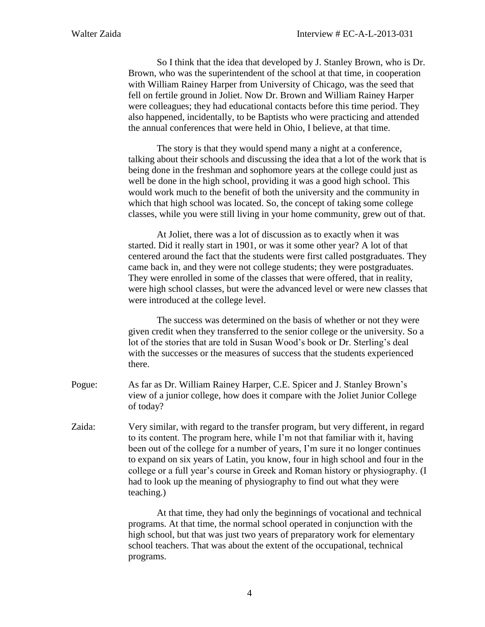So I think that the idea that developed by J. Stanley Brown, who is Dr. Brown, who was the superintendent of the school at that time, in cooperation with William Rainey Harper from University of Chicago, was the seed that fell on fertile ground in Joliet. Now Dr. Brown and William Rainey Harper were colleagues; they had educational contacts before this time period. They also happened, incidentally, to be Baptists who were practicing and attended the annual conferences that were held in Ohio, I believe, at that time.

The story is that they would spend many a night at a conference, talking about their schools and discussing the idea that a lot of the work that is being done in the freshman and sophomore years at the college could just as well be done in the high school, providing it was a good high school. This would work much to the benefit of both the university and the community in which that high school was located. So, the concept of taking some college classes, while you were still living in your home community, grew out of that.

At Joliet, there was a lot of discussion as to exactly when it was started. Did it really start in 1901, or was it some other year? A lot of that centered around the fact that the students were first called postgraduates. They came back in, and they were not college students; they were postgraduates. They were enrolled in some of the classes that were offered, that in reality, were high school classes, but were the advanced level or were new classes that were introduced at the college level.

The success was determined on the basis of whether or not they were given credit when they transferred to the senior college or the university. So a lot of the stories that are told in Susan Wood's book or Dr. Sterling's deal with the successes or the measures of success that the students experienced there.

- Pogue: As far as Dr. William Rainey Harper, C.E. Spicer and J. Stanley Brown's view of a junior college, how does it compare with the Joliet Junior College of today?
- Zaida: Very similar, with regard to the transfer program, but very different, in regard to its content. The program here, while I'm not that familiar with it, having been out of the college for a number of years, I'm sure it no longer continues to expand on six years of Latin, you know, four in high school and four in the college or a full year's course in Greek and Roman history or physiography. (I had to look up the meaning of physiography to find out what they were teaching.)

At that time, they had only the beginnings of vocational and technical programs. At that time, the normal school operated in conjunction with the high school, but that was just two years of preparatory work for elementary school teachers. That was about the extent of the occupational, technical programs.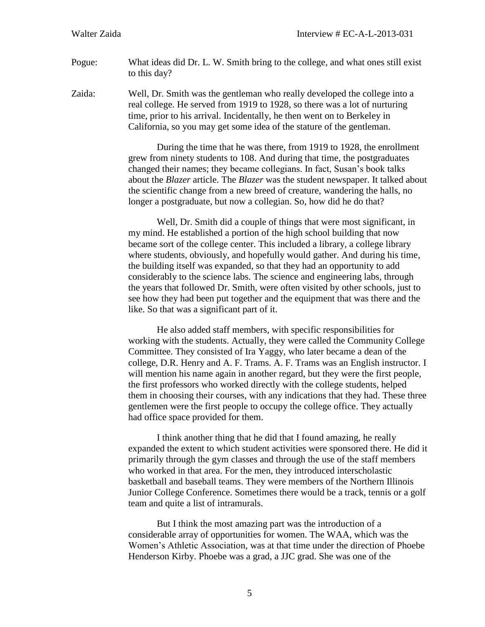Pogue: What ideas did Dr. L. W. Smith bring to the college, and what ones still exist to this day?

Zaida: Well, Dr. Smith was the gentleman who really developed the college into a real college. He served from 1919 to 1928, so there was a lot of nurturing time, prior to his arrival. Incidentally, he then went on to Berkeley in California, so you may get some idea of the stature of the gentleman.

> During the time that he was there, from 1919 to 1928, the enrollment grew from ninety students to 108. And during that time, the postgraduates changed their names; they became collegians. In fact, Susan's book talks about the *Blazer* article. The *Blazer* was the student newspaper. It talked about the scientific change from a new breed of creature, wandering the halls, no longer a postgraduate, but now a collegian. So, how did he do that?

Well, Dr. Smith did a couple of things that were most significant, in my mind. He established a portion of the high school building that now became sort of the college center. This included a library, a college library where students, obviously, and hopefully would gather. And during his time, the building itself was expanded, so that they had an opportunity to add considerably to the science labs. The science and engineering labs, through the years that followed Dr. Smith, were often visited by other schools, just to see how they had been put together and the equipment that was there and the like. So that was a significant part of it.

He also added staff members, with specific responsibilities for working with the students. Actually, they were called the Community College Committee. They consisted of Ira Yaggy, who later became a dean of the college, D.R. Henry and A. F. Trams. A. F. Trams was an English instructor. I will mention his name again in another regard, but they were the first people, the first professors who worked directly with the college students, helped them in choosing their courses, with any indications that they had. These three gentlemen were the first people to occupy the college office. They actually had office space provided for them.

I think another thing that he did that I found amazing, he really expanded the extent to which student activities were sponsored there. He did it primarily through the gym classes and through the use of the staff members who worked in that area. For the men, they introduced interscholastic basketball and baseball teams. They were members of the Northern Illinois Junior College Conference. Sometimes there would be a track, tennis or a golf team and quite a list of intramurals.

But I think the most amazing part was the introduction of a considerable array of opportunities for women. The WAA, which was the Women's Athletic Association, was at that time under the direction of Phoebe Henderson Kirby. Phoebe was a grad, a JJC grad. She was one of the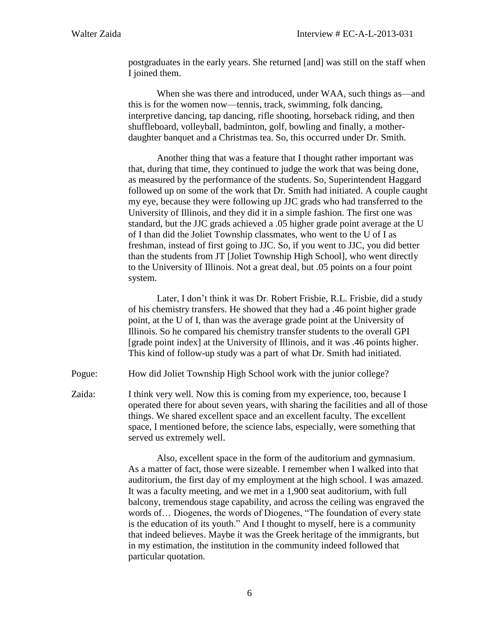postgraduates in the early years. She returned [and] was still on the staff when I joined them.

When she was there and introduced, under WAA, such things as—and this is for the women now—tennis, track, swimming, folk dancing, interpretive dancing, tap dancing, rifle shooting, horseback riding, and then shuffleboard, volleyball, badminton, golf, bowling and finally, a motherdaughter banquet and a Christmas tea. So, this occurred under Dr. Smith.

Another thing that was a feature that I thought rather important was that, during that time, they continued to judge the work that was being done, as measured by the performance of the students. So, Superintendent Haggard followed up on some of the work that Dr. Smith had initiated. A couple caught my eye, because they were following up JJC grads who had transferred to the University of Illinois, and they did it in a simple fashion. The first one was standard, but the JJC grads achieved a .05 higher grade point average at the U of I than did the Joliet Township classmates, who went to the U of I as freshman, instead of first going to JJC. So, if you went to JJC, you did better than the students from JT [Joliet Township High School], who went directly to the University of Illinois. Not a great deal, but .05 points on a four point system.

Later, I don't think it was Dr. Robert Frisbie, R.L. Frisbie, did a study of his chemistry transfers. He showed that they had a .46 point higher grade point, at the U of I, than was the average grade point at the University of Illinois. So he compared his chemistry transfer students to the overall GPI [grade point index] at the University of Illinois, and it was .46 points higher. This kind of follow-up study was a part of what Dr. Smith had initiated.

Pogue: How did Joliet Township High School work with the junior college?

Zaida: I think very well. Now this is coming from my experience, too, because I operated there for about seven years, with sharing the facilities and all of those things. We shared excellent space and an excellent faculty. The excellent space, I mentioned before, the science labs, especially, were something that served us extremely well.

> Also, excellent space in the form of the auditorium and gymnasium. As a matter of fact, those were sizeable. I remember when I walked into that auditorium, the first day of my employment at the high school. I was amazed. It was a faculty meeting, and we met in a 1,900 seat auditorium, with full balcony, tremendous stage capability, and across the ceiling was engraved the words of… Diogenes, the words of Diogenes, "The foundation of every state is the education of its youth." And I thought to myself, here is a community that indeed believes. Maybe it was the Greek heritage of the immigrants, but in my estimation, the institution in the community indeed followed that particular quotation.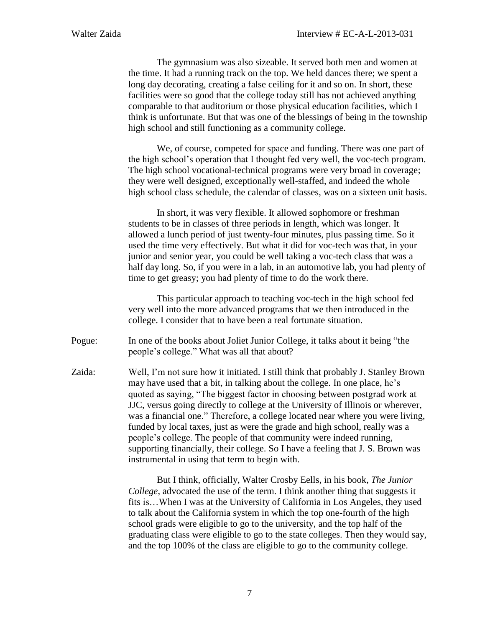The gymnasium was also sizeable. It served both men and women at the time. It had a running track on the top. We held dances there; we spent a long day decorating, creating a false ceiling for it and so on. In short, these facilities were so good that the college today still has not achieved anything comparable to that auditorium or those physical education facilities, which I think is unfortunate. But that was one of the blessings of being in the township high school and still functioning as a community college.

We, of course, competed for space and funding. There was one part of the high school's operation that I thought fed very well, the voc-tech program. The high school vocational-technical programs were very broad in coverage; they were well designed, exceptionally well-staffed, and indeed the whole high school class schedule, the calendar of classes, was on a sixteen unit basis.

In short, it was very flexible. It allowed sophomore or freshman students to be in classes of three periods in length, which was longer. It allowed a lunch period of just twenty-four minutes, plus passing time. So it used the time very effectively. But what it did for voc-tech was that, in your junior and senior year, you could be well taking a voc-tech class that was a half day long. So, if you were in a lab, in an automotive lab, you had plenty of time to get greasy; you had plenty of time to do the work there.

This particular approach to teaching voc-tech in the high school fed very well into the more advanced programs that we then introduced in the college. I consider that to have been a real fortunate situation.

- Pogue: In one of the books about Joliet Junior College, it talks about it being "the people's college." What was all that about?
- Zaida: Well, I'm not sure how it initiated. I still think that probably J. Stanley Brown may have used that a bit, in talking about the college. In one place, he's quoted as saying, "The biggest factor in choosing between postgrad work at JJC, versus going directly to college at the University of Illinois or wherever, was a financial one." Therefore, a college located near where you were living, funded by local taxes, just as were the grade and high school, really was a people's college. The people of that community were indeed running, supporting financially, their college. So I have a feeling that J. S. Brown was instrumental in using that term to begin with.

But I think, officially, Walter Crosby Eells, in his book, *The Junior College*, advocated the use of the term. I think another thing that suggests it fits is…When I was at the University of California in Los Angeles, they used to talk about the California system in which the top one-fourth of the high school grads were eligible to go to the university, and the top half of the graduating class were eligible to go to the state colleges. Then they would say, and the top 100% of the class are eligible to go to the community college.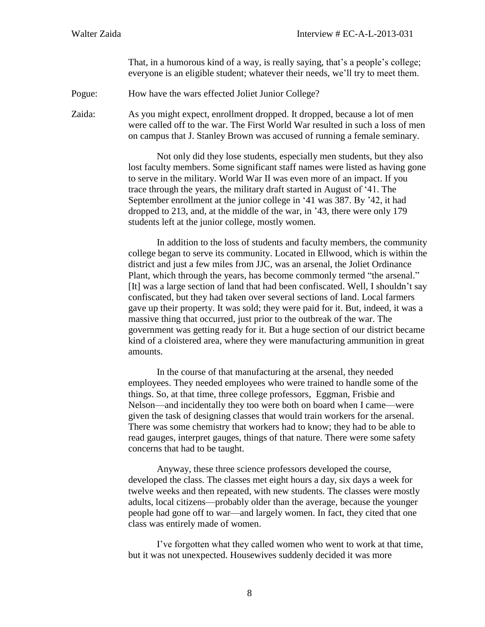That, in a humorous kind of a way, is really saying, that's a people's college; everyone is an eligible student; whatever their needs, we'll try to meet them.

Pogue: How have the wars effected Joliet Junior College?

Zaida: As you might expect, enrollment dropped. It dropped, because a lot of men were called off to the war. The First World War resulted in such a loss of men on campus that J. Stanley Brown was accused of running a female seminary.

> Not only did they lose students, especially men students, but they also lost faculty members. Some significant staff names were listed as having gone to serve in the military. World War II was even more of an impact. If you trace through the years, the military draft started in August of '41. The September enrollment at the junior college in '41 was 387. By '42, it had dropped to 213, and, at the middle of the war, in '43, there were only 179 students left at the junior college, mostly women.

> In addition to the loss of students and faculty members, the community college began to serve its community. Located in Ellwood, which is within the district and just a few miles from JJC, was an arsenal, the Joliet Ordinance Plant, which through the years, has become commonly termed "the arsenal." [It] was a large section of land that had been confiscated. Well, I shouldn't say confiscated, but they had taken over several sections of land. Local farmers gave up their property. It was sold; they were paid for it. But, indeed, it was a massive thing that occurred, just prior to the outbreak of the war. The government was getting ready for it. But a huge section of our district became kind of a cloistered area, where they were manufacturing ammunition in great amounts.

In the course of that manufacturing at the arsenal, they needed employees. They needed employees who were trained to handle some of the things. So, at that time, three college professors, Eggman, Frisbie and Nelson—and incidentally they too were both on board when I came—were given the task of designing classes that would train workers for the arsenal. There was some chemistry that workers had to know; they had to be able to read gauges, interpret gauges, things of that nature. There were some safety concerns that had to be taught.

Anyway, these three science professors developed the course, developed the class. The classes met eight hours a day, six days a week for twelve weeks and then repeated, with new students. The classes were mostly adults, local citizens—probably older than the average, because the younger people had gone off to war—and largely women. In fact, they cited that one class was entirely made of women.

I've forgotten what they called women who went to work at that time, but it was not unexpected. Housewives suddenly decided it was more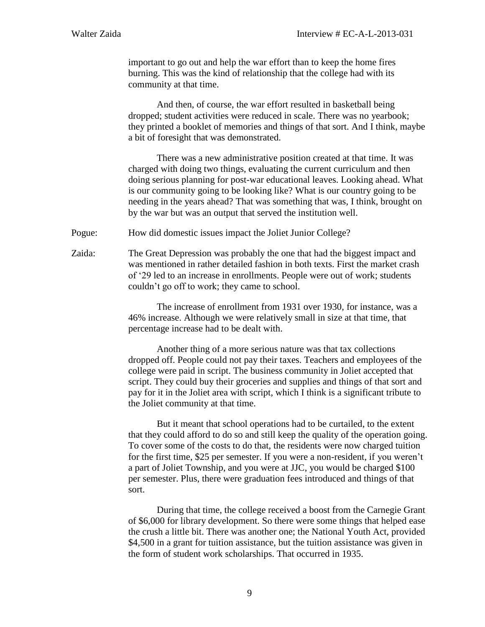important to go out and help the war effort than to keep the home fires burning. This was the kind of relationship that the college had with its community at that time.

And then, of course, the war effort resulted in basketball being dropped; student activities were reduced in scale. There was no yearbook; they printed a booklet of memories and things of that sort. And I think, maybe a bit of foresight that was demonstrated.

There was a new administrative position created at that time. It was charged with doing two things, evaluating the current curriculum and then doing serious planning for post-war educational leaves. Looking ahead. What is our community going to be looking like? What is our country going to be needing in the years ahead? That was something that was, I think, brought on by the war but was an output that served the institution well.

Pogue: How did domestic issues impact the Joliet Junior College?

Zaida: The Great Depression was probably the one that had the biggest impact and was mentioned in rather detailed fashion in both texts. First the market crash of '29 led to an increase in enrollments. People were out of work; students couldn't go off to work; they came to school.

> The increase of enrollment from 1931 over 1930, for instance, was a 46% increase. Although we were relatively small in size at that time, that percentage increase had to be dealt with.

Another thing of a more serious nature was that tax collections dropped off. People could not pay their taxes. Teachers and employees of the college were paid in script. The business community in Joliet accepted that script. They could buy their groceries and supplies and things of that sort and pay for it in the Joliet area with script, which I think is a significant tribute to the Joliet community at that time.

But it meant that school operations had to be curtailed, to the extent that they could afford to do so and still keep the quality of the operation going. To cover some of the costs to do that, the residents were now charged tuition for the first time, \$25 per semester. If you were a non-resident, if you weren't a part of Joliet Township, and you were at JJC, you would be charged \$100 per semester. Plus, there were graduation fees introduced and things of that sort.

During that time, the college received a boost from the Carnegie Grant of \$6,000 for library development. So there were some things that helped ease the crush a little bit. There was another one; the National Youth Act, provided \$4,500 in a grant for tuition assistance, but the tuition assistance was given in the form of student work scholarships. That occurred in 1935.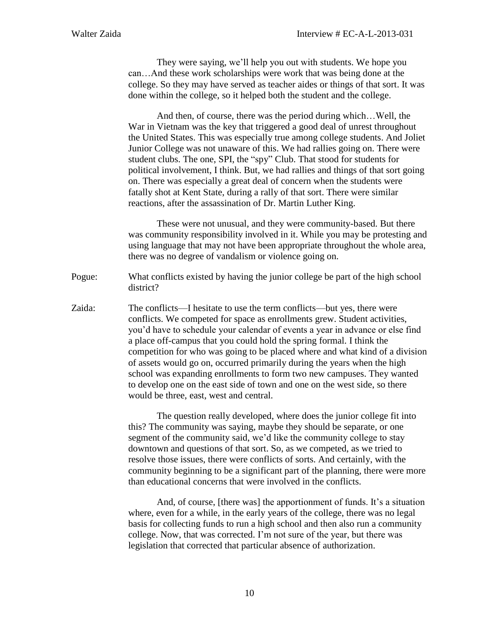They were saying, we'll help you out with students. We hope you can…And these work scholarships were work that was being done at the college. So they may have served as teacher aides or things of that sort. It was done within the college, so it helped both the student and the college.

And then, of course, there was the period during which…Well, the War in Vietnam was the key that triggered a good deal of unrest throughout the United States. This was especially true among college students. And Joliet Junior College was not unaware of this. We had rallies going on. There were student clubs. The one, SPI, the "spy" Club. That stood for students for political involvement, I think. But, we had rallies and things of that sort going on. There was especially a great deal of concern when the students were fatally shot at Kent State, during a rally of that sort. There were similar reactions, after the assassination of Dr. Martin Luther King.

These were not unusual, and they were community-based. But there was community responsibility involved in it. While you may be protesting and using language that may not have been appropriate throughout the whole area, there was no degree of vandalism or violence going on.

Pogue: What conflicts existed by having the junior college be part of the high school district?

Zaida: The conflicts—I hesitate to use the term conflicts—but yes, there were conflicts. We competed for space as enrollments grew. Student activities, you'd have to schedule your calendar of events a year in advance or else find a place off-campus that you could hold the spring formal. I think the competition for who was going to be placed where and what kind of a division of assets would go on, occurred primarily during the years when the high school was expanding enrollments to form two new campuses. They wanted to develop one on the east side of town and one on the west side, so there would be three, east, west and central.

> The question really developed, where does the junior college fit into this? The community was saying, maybe they should be separate, or one segment of the community said, we'd like the community college to stay downtown and questions of that sort. So, as we competed, as we tried to resolve those issues, there were conflicts of sorts. And certainly, with the community beginning to be a significant part of the planning, there were more than educational concerns that were involved in the conflicts.

> And, of course, [there was] the apportionment of funds. It's a situation where, even for a while, in the early years of the college, there was no legal basis for collecting funds to run a high school and then also run a community college. Now, that was corrected. I'm not sure of the year, but there was legislation that corrected that particular absence of authorization.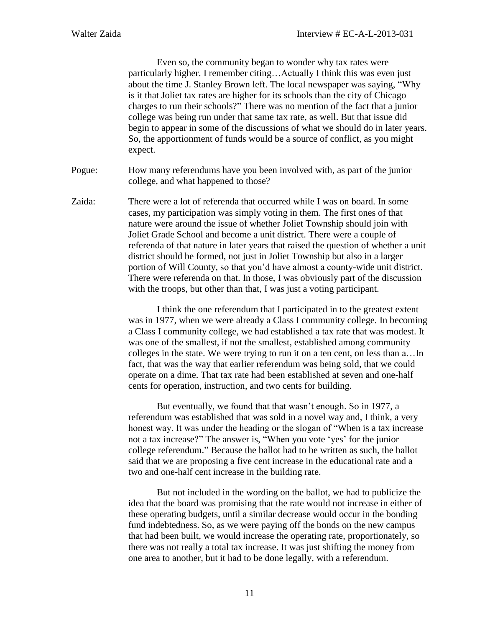Even so, the community began to wonder why tax rates were particularly higher. I remember citing…Actually I think this was even just about the time J. Stanley Brown left. The local newspaper was saying, "Why is it that Joliet tax rates are higher for its schools than the city of Chicago charges to run their schools?" There was no mention of the fact that a junior college was being run under that same tax rate, as well. But that issue did begin to appear in some of the discussions of what we should do in later years. So, the apportionment of funds would be a source of conflict, as you might expect.

Pogue: How many referendums have you been involved with, as part of the junior college, and what happened to those?

Zaida: There were a lot of referenda that occurred while I was on board. In some cases, my participation was simply voting in them. The first ones of that nature were around the issue of whether Joliet Township should join with Joliet Grade School and become a unit district. There were a couple of referenda of that nature in later years that raised the question of whether a unit district should be formed, not just in Joliet Township but also in a larger portion of Will County, so that you'd have almost a county-wide unit district. There were referenda on that. In those, I was obviously part of the discussion with the troops, but other than that, I was just a voting participant.

> I think the one referendum that I participated in to the greatest extent was in 1977, when we were already a Class I community college. In becoming a Class I community college, we had established a tax rate that was modest. It was one of the smallest, if not the smallest, established among community colleges in the state. We were trying to run it on a ten cent, on less than a…In fact, that was the way that earlier referendum was being sold, that we could operate on a dime. That tax rate had been established at seven and one-half cents for operation, instruction, and two cents for building.

But eventually, we found that that wasn't enough. So in 1977, a referendum was established that was sold in a novel way and, I think, a very honest way. It was under the heading or the slogan of "When is a tax increase not a tax increase?" The answer is, "When you vote 'yes' for the junior college referendum." Because the ballot had to be written as such, the ballot said that we are proposing a five cent increase in the educational rate and a two and one-half cent increase in the building rate.

But not included in the wording on the ballot, we had to publicize the idea that the board was promising that the rate would not increase in either of these operating budgets, until a similar decrease would occur in the bonding fund indebtedness. So, as we were paying off the bonds on the new campus that had been built, we would increase the operating rate, proportionately, so there was not really a total tax increase. It was just shifting the money from one area to another, but it had to be done legally, with a referendum.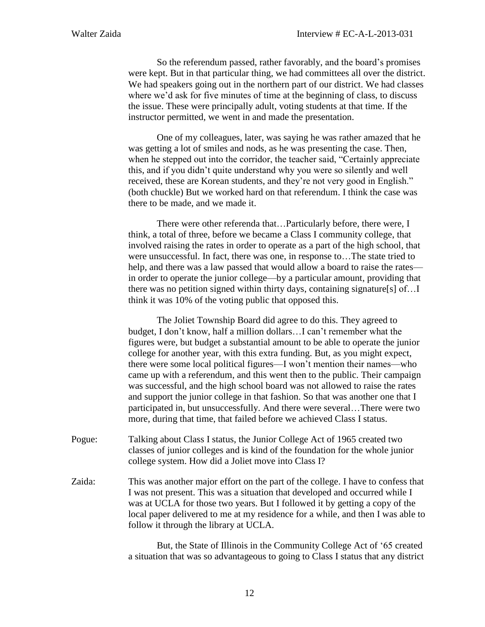So the referendum passed, rather favorably, and the board's promises were kept. But in that particular thing, we had committees all over the district. We had speakers going out in the northern part of our district. We had classes where we'd ask for five minutes of time at the beginning of class, to discuss the issue. These were principally adult, voting students at that time. If the instructor permitted, we went in and made the presentation.

One of my colleagues, later, was saying he was rather amazed that he was getting a lot of smiles and nods, as he was presenting the case. Then, when he stepped out into the corridor, the teacher said, "Certainly appreciate this, and if you didn't quite understand why you were so silently and well received, these are Korean students, and they're not very good in English." (both chuckle) But we worked hard on that referendum. I think the case was there to be made, and we made it.

There were other referenda that…Particularly before, there were, I think, a total of three, before we became a Class I community college, that involved raising the rates in order to operate as a part of the high school, that were unsuccessful. In fact, there was one, in response to…The state tried to help, and there was a law passed that would allow a board to raise the rates in order to operate the junior college—by a particular amount, providing that there was no petition signed within thirty days, containing signature[s] of…I think it was 10% of the voting public that opposed this.

The Joliet Township Board did agree to do this. They agreed to budget, I don't know, half a million dollars…I can't remember what the figures were, but budget a substantial amount to be able to operate the junior college for another year, with this extra funding. But, as you might expect, there were some local political figures—I won't mention their names—who came up with a referendum, and this went then to the public. Their campaign was successful, and the high school board was not allowed to raise the rates and support the junior college in that fashion. So that was another one that I participated in, but unsuccessfully. And there were several…There were two more, during that time, that failed before we achieved Class I status.

- Pogue: Talking about Class I status, the Junior College Act of 1965 created two classes of junior colleges and is kind of the foundation for the whole junior college system. How did a Joliet move into Class I?
- Zaida: This was another major effort on the part of the college. I have to confess that I was not present. This was a situation that developed and occurred while I was at UCLA for those two years. But I followed it by getting a copy of the local paper delivered to me at my residence for a while, and then I was able to follow it through the library at UCLA.

But, the State of Illinois in the Community College Act of '65 created a situation that was so advantageous to going to Class I status that any district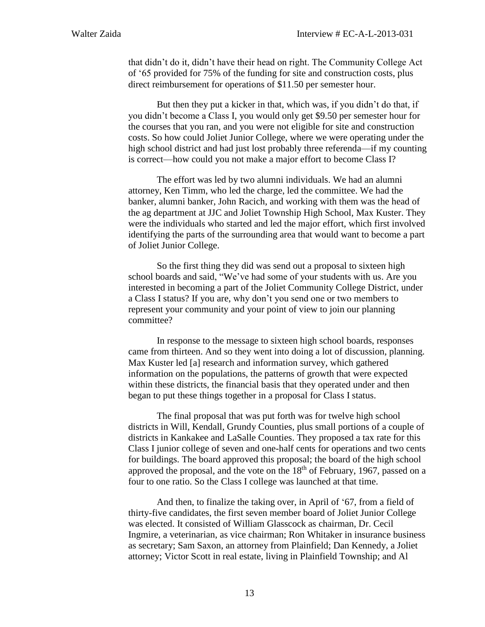that didn't do it, didn't have their head on right. The Community College Act of '65 provided for 75% of the funding for site and construction costs, plus direct reimbursement for operations of \$11.50 per semester hour.

But then they put a kicker in that, which was, if you didn't do that, if you didn't become a Class I, you would only get \$9.50 per semester hour for the courses that you ran, and you were not eligible for site and construction costs. So how could Joliet Junior College, where we were operating under the high school district and had just lost probably three referenda—if my counting is correct—how could you not make a major effort to become Class I?

The effort was led by two alumni individuals. We had an alumni attorney, Ken Timm, who led the charge, led the committee. We had the banker, alumni banker, John Racich, and working with them was the head of the ag department at JJC and Joliet Township High School, Max Kuster. They were the individuals who started and led the major effort, which first involved identifying the parts of the surrounding area that would want to become a part of Joliet Junior College.

So the first thing they did was send out a proposal to sixteen high school boards and said, "We've had some of your students with us. Are you interested in becoming a part of the Joliet Community College District, under a Class I status? If you are, why don't you send one or two members to represent your community and your point of view to join our planning committee?

In response to the message to sixteen high school boards, responses came from thirteen. And so they went into doing a lot of discussion, planning. Max Kuster led [a] research and information survey, which gathered information on the populations, the patterns of growth that were expected within these districts, the financial basis that they operated under and then began to put these things together in a proposal for Class I status.

The final proposal that was put forth was for twelve high school districts in Will, Kendall, Grundy Counties, plus small portions of a couple of districts in Kankakee and LaSalle Counties. They proposed a tax rate for this Class I junior college of seven and one-half cents for operations and two cents for buildings. The board approved this proposal; the board of the high school approved the proposal, and the vote on the  $18<sup>th</sup>$  of February, 1967, passed on a four to one ratio. So the Class I college was launched at that time.

And then, to finalize the taking over, in April of '67, from a field of thirty-five candidates, the first seven member board of Joliet Junior College was elected. It consisted of William Glasscock as chairman, Dr. Cecil Ingmire, a veterinarian, as vice chairman; Ron Whitaker in insurance business as secretary; Sam Saxon, an attorney from Plainfield; Dan Kennedy, a Joliet attorney; Victor Scott in real estate, living in Plainfield Township; and Al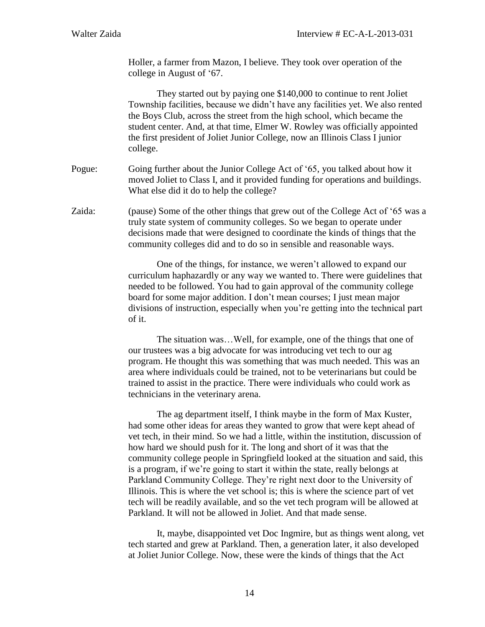Holler, a farmer from Mazon, I believe. They took over operation of the college in August of '67.

They started out by paying one \$140,000 to continue to rent Joliet Township facilities, because we didn't have any facilities yet. We also rented the Boys Club, across the street from the high school, which became the student center. And, at that time, Elmer W. Rowley was officially appointed the first president of Joliet Junior College, now an Illinois Class I junior college.

- Pogue: Going further about the Junior College Act of '65, you talked about how it moved Joliet to Class I, and it provided funding for operations and buildings. What else did it do to help the college?
- Zaida: (pause) Some of the other things that grew out of the College Act of '65 was a truly state system of community colleges. So we began to operate under decisions made that were designed to coordinate the kinds of things that the community colleges did and to do so in sensible and reasonable ways.

One of the things, for instance, we weren't allowed to expand our curriculum haphazardly or any way we wanted to. There were guidelines that needed to be followed. You had to gain approval of the community college board for some major addition. I don't mean courses; I just mean major divisions of instruction, especially when you're getting into the technical part of it.

The situation was…Well, for example, one of the things that one of our trustees was a big advocate for was introducing vet tech to our ag program. He thought this was something that was much needed. This was an area where individuals could be trained, not to be veterinarians but could be trained to assist in the practice. There were individuals who could work as technicians in the veterinary arena.

The ag department itself, I think maybe in the form of Max Kuster, had some other ideas for areas they wanted to grow that were kept ahead of vet tech, in their mind. So we had a little, within the institution, discussion of how hard we should push for it. The long and short of it was that the community college people in Springfield looked at the situation and said, this is a program, if we're going to start it within the state, really belongs at Parkland Community College. They're right next door to the University of Illinois. This is where the vet school is; this is where the science part of vet tech will be readily available, and so the vet tech program will be allowed at Parkland. It will not be allowed in Joliet. And that made sense.

It, maybe, disappointed vet Doc Ingmire, but as things went along, vet tech started and grew at Parkland. Then, a generation later, it also developed at Joliet Junior College. Now, these were the kinds of things that the Act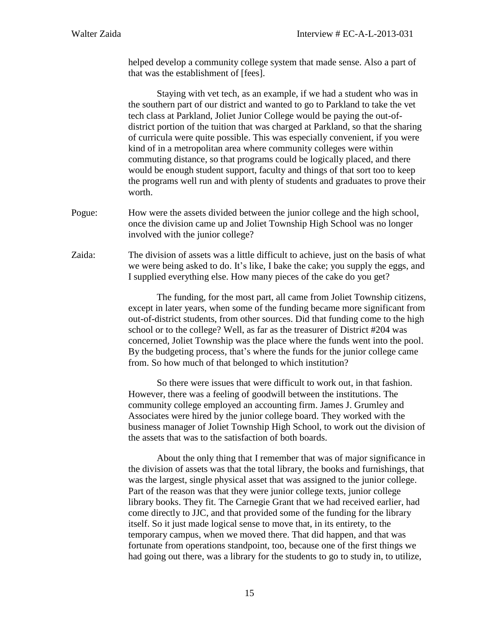helped develop a community college system that made sense. Also a part of that was the establishment of [fees].

Staying with vet tech, as an example, if we had a student who was in the southern part of our district and wanted to go to Parkland to take the vet tech class at Parkland, Joliet Junior College would be paying the out-ofdistrict portion of the tuition that was charged at Parkland, so that the sharing of curricula were quite possible. This was especially convenient, if you were kind of in a metropolitan area where community colleges were within commuting distance, so that programs could be logically placed, and there would be enough student support, faculty and things of that sort too to keep the programs well run and with plenty of students and graduates to prove their worth.

Pogue: How were the assets divided between the junior college and the high school, once the division came up and Joliet Township High School was no longer involved with the junior college?

Zaida: The division of assets was a little difficult to achieve, just on the basis of what we were being asked to do. It's like, I bake the cake; you supply the eggs, and I supplied everything else. How many pieces of the cake do you get?

> The funding, for the most part, all came from Joliet Township citizens, except in later years, when some of the funding became more significant from out-of-district students, from other sources. Did that funding come to the high school or to the college? Well, as far as the treasurer of District #204 was concerned, Joliet Township was the place where the funds went into the pool. By the budgeting process, that's where the funds for the junior college came from. So how much of that belonged to which institution?

> So there were issues that were difficult to work out, in that fashion. However, there was a feeling of goodwill between the institutions. The community college employed an accounting firm. James J. Grumley and Associates were hired by the junior college board. They worked with the business manager of Joliet Township High School, to work out the division of the assets that was to the satisfaction of both boards.

> About the only thing that I remember that was of major significance in the division of assets was that the total library, the books and furnishings, that was the largest, single physical asset that was assigned to the junior college. Part of the reason was that they were junior college texts, junior college library books. They fit. The Carnegie Grant that we had received earlier, had come directly to JJC, and that provided some of the funding for the library itself. So it just made logical sense to move that, in its entirety, to the temporary campus, when we moved there. That did happen, and that was fortunate from operations standpoint, too, because one of the first things we had going out there, was a library for the students to go to study in, to utilize,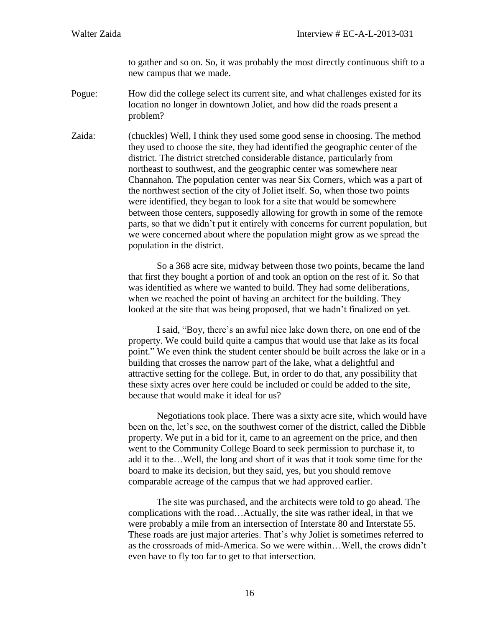to gather and so on. So, it was probably the most directly continuous shift to a new campus that we made.

- Pogue: How did the college select its current site, and what challenges existed for its location no longer in downtown Joliet, and how did the roads present a problem?
- Zaida: (chuckles) Well, I think they used some good sense in choosing. The method they used to choose the site, they had identified the geographic center of the district. The district stretched considerable distance, particularly from northeast to southwest, and the geographic center was somewhere near Channahon. The population center was near Six Corners, which was a part of the northwest section of the city of Joliet itself. So, when those two points were identified, they began to look for a site that would be somewhere between those centers, supposedly allowing for growth in some of the remote parts, so that we didn't put it entirely with concerns for current population, but we were concerned about where the population might grow as we spread the population in the district.

So a 368 acre site, midway between those two points, became the land that first they bought a portion of and took an option on the rest of it. So that was identified as where we wanted to build. They had some deliberations, when we reached the point of having an architect for the building. They looked at the site that was being proposed, that we hadn't finalized on yet.

I said, "Boy, there's an awful nice lake down there, on one end of the property. We could build quite a campus that would use that lake as its focal point." We even think the student center should be built across the lake or in a building that crosses the narrow part of the lake, what a delightful and attractive setting for the college. But, in order to do that, any possibility that these sixty acres over here could be included or could be added to the site, because that would make it ideal for us?

Negotiations took place. There was a sixty acre site, which would have been on the, let's see, on the southwest corner of the district, called the Dibble property. We put in a bid for it, came to an agreement on the price, and then went to the Community College Board to seek permission to purchase it, to add it to the…Well, the long and short of it was that it took some time for the board to make its decision, but they said, yes, but you should remove comparable acreage of the campus that we had approved earlier.

The site was purchased, and the architects were told to go ahead. The complications with the road…Actually, the site was rather ideal, in that we were probably a mile from an intersection of Interstate 80 and Interstate 55. These roads are just major arteries. That's why Joliet is sometimes referred to as the crossroads of mid-America. So we were within…Well, the crows didn't even have to fly too far to get to that intersection.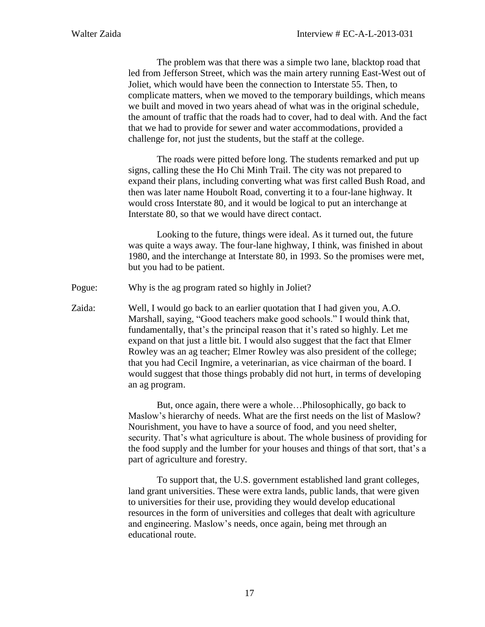The problem was that there was a simple two lane, blacktop road that led from Jefferson Street, which was the main artery running East-West out of Joliet, which would have been the connection to Interstate 55. Then, to complicate matters, when we moved to the temporary buildings, which means we built and moved in two years ahead of what was in the original schedule, the amount of traffic that the roads had to cover, had to deal with. And the fact that we had to provide for sewer and water accommodations, provided a challenge for, not just the students, but the staff at the college.

The roads were pitted before long. The students remarked and put up signs, calling these the Ho Chi Minh Trail. The city was not prepared to expand their plans, including converting what was first called Bush Road, and then was later name Houbolt Road, converting it to a four-lane highway. It would cross Interstate 80, and it would be logical to put an interchange at Interstate 80, so that we would have direct contact.

Looking to the future, things were ideal. As it turned out, the future was quite a ways away. The four-lane highway, I think, was finished in about 1980, and the interchange at Interstate 80, in 1993. So the promises were met, but you had to be patient.

Pogue: Why is the ag program rated so highly in Joliet?

Zaida: Well, I would go back to an earlier quotation that I had given you, A.O. Marshall, saying, "Good teachers make good schools." I would think that, fundamentally, that's the principal reason that it's rated so highly. Let me expand on that just a little bit. I would also suggest that the fact that Elmer Rowley was an ag teacher; Elmer Rowley was also president of the college; that you had Cecil Ingmire, a veterinarian, as vice chairman of the board. I would suggest that those things probably did not hurt, in terms of developing an ag program.

> But, once again, there were a whole…Philosophically, go back to Maslow's hierarchy of needs. What are the first needs on the list of Maslow? Nourishment, you have to have a source of food, and you need shelter, security. That's what agriculture is about. The whole business of providing for the food supply and the lumber for your houses and things of that sort, that's a part of agriculture and forestry.

To support that, the U.S. government established land grant colleges, land grant universities. These were extra lands, public lands, that were given to universities for their use, providing they would develop educational resources in the form of universities and colleges that dealt with agriculture and engineering. Maslow's needs, once again, being met through an educational route.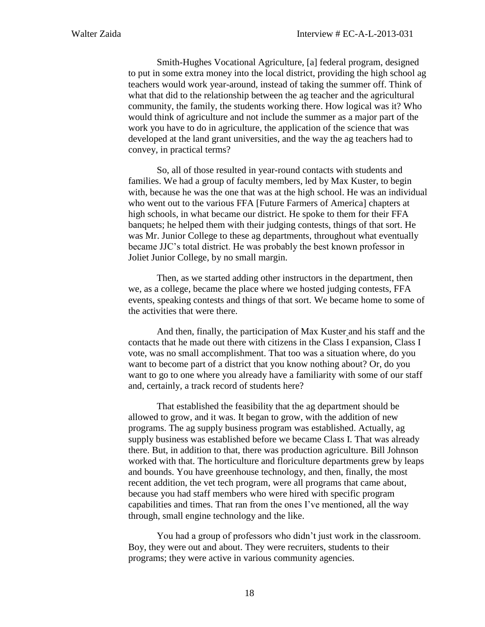Smith-Hughes Vocational Agriculture, [a] federal program, designed to put in some extra money into the local district, providing the high school ag teachers would work year-around, instead of taking the summer off. Think of what that did to the relationship between the ag teacher and the agricultural community, the family, the students working there. How logical was it? Who would think of agriculture and not include the summer as a major part of the work you have to do in agriculture, the application of the science that was developed at the land grant universities, and the way the ag teachers had to convey, in practical terms?

So, all of those resulted in year-round contacts with students and families. We had a group of faculty members, led by Max Kuster, to begin with, because he was the one that was at the high school. He was an individual who went out to the various FFA [Future Farmers of America] chapters at high schools, in what became our district. He spoke to them for their FFA banquets; he helped them with their judging contests, things of that sort. He was Mr. Junior College to these ag departments, throughout what eventually became JJC's total district. He was probably the best known professor in Joliet Junior College, by no small margin.

Then, as we started adding other instructors in the department, then we, as a college, became the place where we hosted judging contests, FFA events, speaking contests and things of that sort. We became home to some of the activities that were there.

And then, finally, the participation of Max Kuster and his staff and the contacts that he made out there with citizens in the Class I expansion, Class I vote, was no small accomplishment. That too was a situation where, do you want to become part of a district that you know nothing about? Or, do you want to go to one where you already have a familiarity with some of our staff and, certainly, a track record of students here?

That established the feasibility that the ag department should be allowed to grow, and it was. It began to grow, with the addition of new programs. The ag supply business program was established. Actually, ag supply business was established before we became Class I. That was already there. But, in addition to that, there was production agriculture. Bill Johnson worked with that. The horticulture and floriculture departments grew by leaps and bounds. You have greenhouse technology, and then, finally, the most recent addition, the vet tech program, were all programs that came about, because you had staff members who were hired with specific program capabilities and times. That ran from the ones I've mentioned, all the way through, small engine technology and the like.

You had a group of professors who didn't just work in the classroom. Boy, they were out and about. They were recruiters, students to their programs; they were active in various community agencies.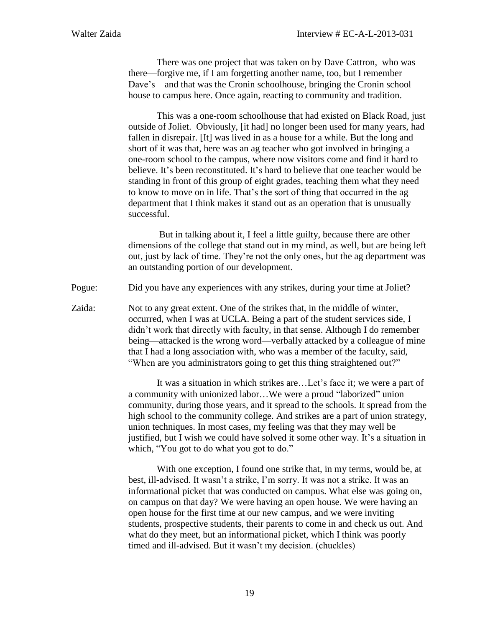There was one project that was taken on by Dave Cattron, who was there—forgive me, if I am forgetting another name, too, but I remember Dave's—and that was the Cronin schoolhouse, bringing the Cronin school house to campus here. Once again, reacting to community and tradition.

This was a one-room schoolhouse that had existed on Black Road, just outside of Joliet. Obviously, [it had] no longer been used for many years, had fallen in disrepair. [It] was lived in as a house for a while. But the long and short of it was that, here was an ag teacher who got involved in bringing a one-room school to the campus, where now visitors come and find it hard to believe. It's been reconstituted. It's hard to believe that one teacher would be standing in front of this group of eight grades, teaching them what they need to know to move on in life. That's the sort of thing that occurred in the ag department that I think makes it stand out as an operation that is unusually successful.

But in talking about it, I feel a little guilty, because there are other dimensions of the college that stand out in my mind, as well, but are being left out, just by lack of time. They're not the only ones, but the ag department was an outstanding portion of our development.

Pogue: Did you have any experiences with any strikes, during your time at Joliet?

Zaida: Not to any great extent. One of the strikes that, in the middle of winter, occurred, when I was at UCLA. Being a part of the student services side, I didn't work that directly with faculty, in that sense. Although I do remember being—attacked is the wrong word—verbally attacked by a colleague of mine that I had a long association with, who was a member of the faculty, said, "When are you administrators going to get this thing straightened out?"

> It was a situation in which strikes are…Let's face it; we were a part of a community with unionized labor…We were a proud "laborized" union community, during those years, and it spread to the schools. It spread from the high school to the community college. And strikes are a part of union strategy, union techniques. In most cases, my feeling was that they may well be justified, but I wish we could have solved it some other way. It's a situation in which, "You got to do what you got to do."

With one exception, I found one strike that, in my terms, would be, at best, ill-advised. It wasn't a strike, I'm sorry. It was not a strike. It was an informational picket that was conducted on campus. What else was going on, on campus on that day? We were having an open house. We were having an open house for the first time at our new campus, and we were inviting students, prospective students, their parents to come in and check us out. And what do they meet, but an informational picket, which I think was poorly timed and ill-advised. But it wasn't my decision. (chuckles)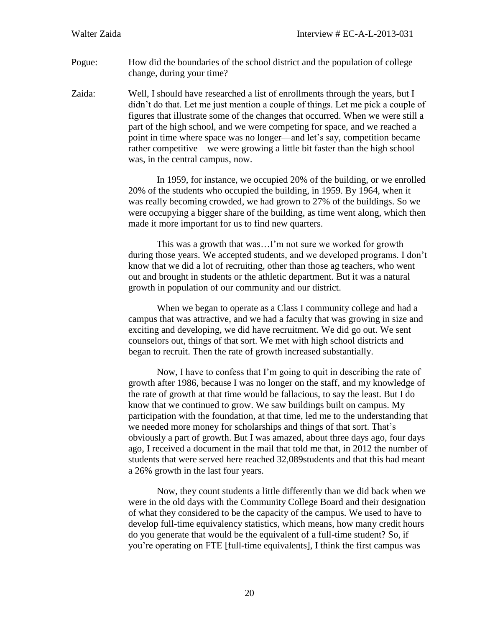Pogue: How did the boundaries of the school district and the population of college change, during your time?

Zaida: Well, I should have researched a list of enrollments through the years, but I didn't do that. Let me just mention a couple of things. Let me pick a couple of figures that illustrate some of the changes that occurred. When we were still a part of the high school, and we were competing for space, and we reached a point in time where space was no longer—and let's say, competition became rather competitive—we were growing a little bit faster than the high school was, in the central campus, now.

> In 1959, for instance, we occupied 20% of the building, or we enrolled 20% of the students who occupied the building, in 1959. By 1964, when it was really becoming crowded, we had grown to 27% of the buildings. So we were occupying a bigger share of the building, as time went along, which then made it more important for us to find new quarters.

> This was a growth that was…I'm not sure we worked for growth during those years. We accepted students, and we developed programs. I don't know that we did a lot of recruiting, other than those ag teachers, who went out and brought in students or the athletic department. But it was a natural growth in population of our community and our district.

> When we began to operate as a Class I community college and had a campus that was attractive, and we had a faculty that was growing in size and exciting and developing, we did have recruitment. We did go out. We sent counselors out, things of that sort. We met with high school districts and began to recruit. Then the rate of growth increased substantially.

Now, I have to confess that I'm going to quit in describing the rate of growth after 1986, because I was no longer on the staff, and my knowledge of the rate of growth at that time would be fallacious, to say the least. But I do know that we continued to grow. We saw buildings built on campus. My participation with the foundation, at that time, led me to the understanding that we needed more money for scholarships and things of that sort. That's obviously a part of growth. But I was amazed, about three days ago, four days ago, I received a document in the mail that told me that, in 2012 the number of students that were served here reached 32,089students and that this had meant a 26% growth in the last four years.

Now, they count students a little differently than we did back when we were in the old days with the Community College Board and their designation of what they considered to be the capacity of the campus. We used to have to develop full-time equivalency statistics, which means, how many credit hours do you generate that would be the equivalent of a full-time student? So, if you're operating on FTE [full-time equivalents], I think the first campus was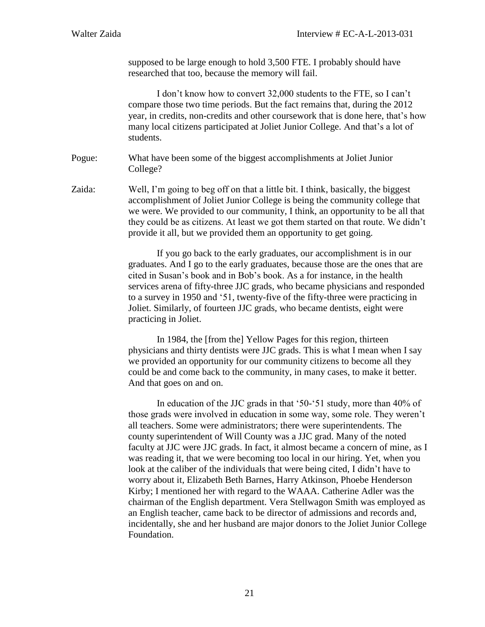supposed to be large enough to hold 3,500 FTE. I probably should have researched that too, because the memory will fail.

I don't know how to convert 32,000 students to the FTE, so I can't compare those two time periods. But the fact remains that, during the 2012 year, in credits, non-credits and other coursework that is done here, that's how many local citizens participated at Joliet Junior College. And that's a lot of students.

Pogue: What have been some of the biggest accomplishments at Joliet Junior College?

Zaida: Well, I'm going to beg off on that a little bit. I think, basically, the biggest accomplishment of Joliet Junior College is being the community college that we were. We provided to our community, I think, an opportunity to be all that they could be as citizens. At least we got them started on that route. We didn't provide it all, but we provided them an opportunity to get going.

> If you go back to the early graduates, our accomplishment is in our graduates. And I go to the early graduates, because those are the ones that are cited in Susan's book and in Bob's book. As a for instance, in the health services arena of fifty-three JJC grads, who became physicians and responded to a survey in 1950 and '51, twenty-five of the fifty-three were practicing in Joliet. Similarly, of fourteen JJC grads, who became dentists, eight were practicing in Joliet.

> In 1984, the [from the] Yellow Pages for this region, thirteen physicians and thirty dentists were JJC grads. This is what I mean when I say we provided an opportunity for our community citizens to become all they could be and come back to the community, in many cases, to make it better. And that goes on and on.

In education of the JJC grads in that '50-'51 study, more than 40% of those grads were involved in education in some way, some role. They weren't all teachers. Some were administrators; there were superintendents. The county superintendent of Will County was a JJC grad. Many of the noted faculty at JJC were JJC grads. In fact, it almost became a concern of mine, as I was reading it, that we were becoming too local in our hiring. Yet, when you look at the caliber of the individuals that were being cited, I didn't have to worry about it, Elizabeth Beth Barnes, Harry Atkinson, Phoebe Henderson Kirby; I mentioned her with regard to the WAAA. Catherine Adler was the chairman of the English department. Vera Stellwagon Smith was employed as an English teacher, came back to be director of admissions and records and, incidentally, she and her husband are major donors to the Joliet Junior College Foundation.